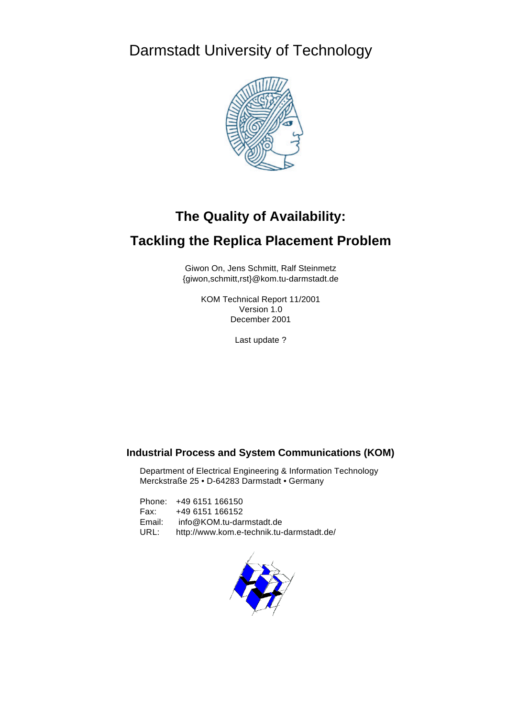Darmstadt University of Technology



# **The Quality of Availability:**

# **Tackling the Replica Placement Problem**

Giwon On, Jens Schmitt, Ralf Steinmetz {giwon,schmitt,rst}@kom.tu-darmstadt.de

> KOM Technical Report 11/2001 Version 1.0 December 2001

> > Last update ?

## **Industrial Process and System Communications (KOM)**

Department of Electrical Engineering & Information Technology Merckstraße 25 • D-64283 Darmstadt • Germany

Phone: +49 6151 166150 Fax: +49 6151 166152 Email: info@KOM.tu-darmstadt.de URL: http://www.kom.e-technik.tu-darmstadt.de/

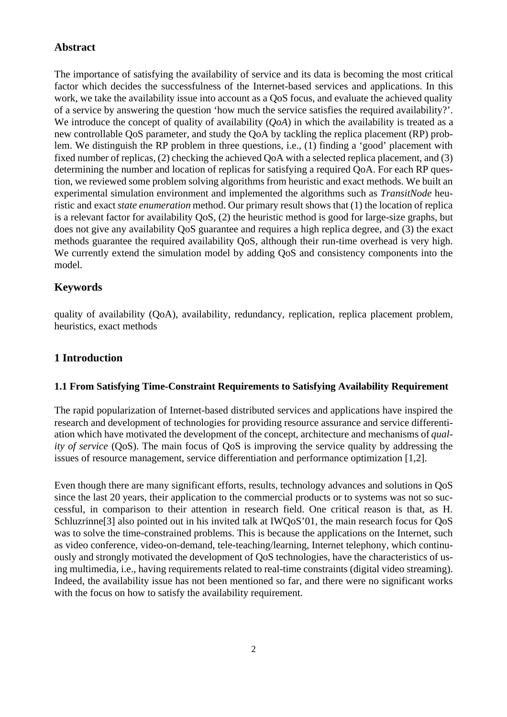# **Abstract**

The importance of satisfying the availability of service and its data is becoming the most critical factor which decides the successfulness of the Internet-based services and applications. In this work, we take the availability issue into account as a QoS focus, and evaluate the achieved quality of a service by answering the question 'how much the service satisfies the required availability?'. We introduce the concept of quality of availability (*QoA*) in which the availability is treated as a new controllable QoS parameter, and study the QoA by tackling the replica placement (RP) problem. We distinguish the RP problem in three questions, i.e., (1) finding a 'good' placement with fixed number of replicas, (2) checking the achieved QoA with a selected replica placement, and (3) determining the number and location of replicas for satisfying a required QoA. For each RP question, we reviewed some problem solving algorithms from heuristic and exact methods. We built an experimental simulation environment and implemented the algorithms such as *TransitNode* heuristic and exact *state enumeration* method. Our primary result shows that (1) the location of replica is a relevant factor for availability QoS, (2) the heuristic method is good for large-size graphs, but does not give any availability QoS guarantee and requires a high replica degree, and (3) the exact methods guarantee the required availability QoS, although their run-time overhead is very high. We currently extend the simulation model by adding QoS and consistency components into the model.

## **Keywords**

quality of availability (QoA), availability, redundancy, replication, replica placement problem, heuristics, exact methods

## **1 Introduction**

#### **1.1 From Satisfying Time-Constraint Requirements to Satisfying Availability Requirement**

The rapid popularization of Internet-based distributed services and applications have inspired the research and development of technologies for providing resource assurance and service differentiation which have motivated the development of the concept, architecture and mechanisms of *quality of service* (QoS). The main focus of QoS is improving the service quality by addressing the issues of resource management, service differentiation and performance optimization [1,2].

Even though there are many significant efforts, results, technology advances and solutions in QoS since the last 20 years, their application to the commercial products or to systems was not so successful, in comparison to their attention in research field. One critical reason is that, as H. Schluzrinne<sup>[3]</sup> also pointed out in his invited talk at IWQoS'01, the main research focus for QoS was to solve the time-constrained problems. This is because the applications on the Internet, such as video conference, video-on-demand, tele-teaching/learning, Internet telephony, which continuously and strongly motivated the development of QoS technologies, have the characteristics of using multimedia, i.e., having requirements related to real-time constraints (digital video streaming). Indeed, the availability issue has not been mentioned so far, and there were no significant works with the focus on how to satisfy the availability requirement.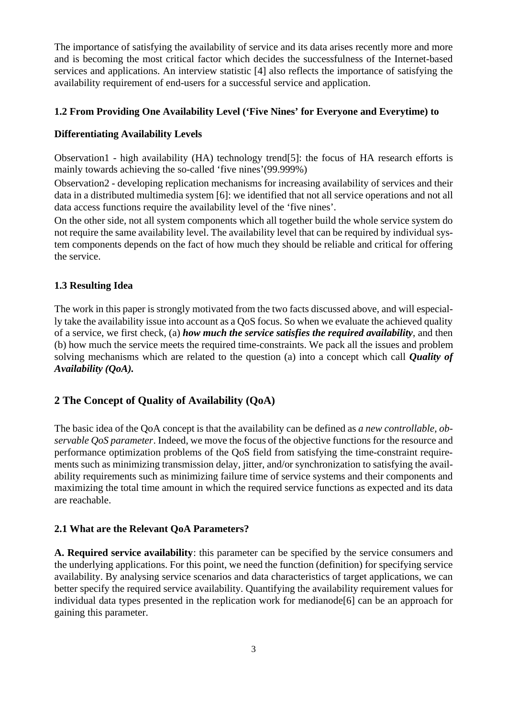The importance of satisfying the availability of service and its data arises recently more and more and is becoming the most critical factor which decides the successfulness of the Internet-based services and applications. An interview statistic [4] also reflects the importance of satisfying the availability requirement of end-users for a successful service and application.

## **1.2 From Providing One Availability Level ('Five Nines' for Everyone and Everytime) to**

#### **Differentiating Availability Levels**

Observation1 - high availability (HA) technology trend[5]: the focus of HA research efforts is mainly towards achieving the so-called 'five nines'(99.999%)

Observation2 - developing replication mechanisms for increasing availability of services and their data in a distributed multimedia system [6]: we identified that not all service operations and not all data access functions require the availability level of the 'five nines'.

On the other side, not all system components which all together build the whole service system do not require the same availability level. The availability level that can be required by individual system components depends on the fact of how much they should be reliable and critical for offering the service.

### **1.3 Resulting Idea**

The work in this paper is strongly motivated from the two facts discussed above, and will especially take the availability issue into account as a QoS focus. So when we evaluate the achieved quality of a service, we first check, (a) *how much the service satisfies the required availability*, and then (b) how much the service meets the required time-constraints. We pack all the issues and problem solving mechanisms which are related to the question (a) into a concept which call *Quality of Availability (QoA).*

# **2 The Concept of Quality of Availability (QoA)**

The basic idea of the QoA concept is that the availability can be defined as *a new controllable, observable QoS parameter*. Indeed, we move the focus of the objective functions for the resource and performance optimization problems of the QoS field from satisfying the time-constraint requirements such as minimizing transmission delay, jitter, and/or synchronization to satisfying the availability requirements such as minimizing failure time of service systems and their components and maximizing the total time amount in which the required service functions as expected and its data are reachable.

#### **2.1 What are the Relevant QoA Parameters?**

**A. Required service availability**: this parameter can be specified by the service consumers and the underlying applications. For this point, we need the function (definition) for specifying service availability. By analysing service scenarios and data characteristics of target applications, we can better specify the required service availability. Quantifying the availability requirement values for individual data types presented in the replication work for medianode[6] can be an approach for gaining this parameter.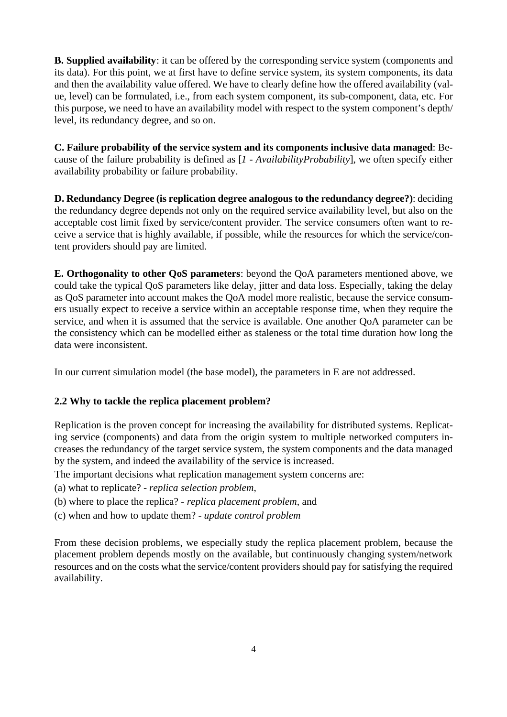**B. Supplied availability**: it can be offered by the corresponding service system (components and its data). For this point, we at first have to define service system, its system components, its data and then the availability value offered. We have to clearly define how the offered availability (value, level) can be formulated, i.e., from each system component, its sub-component, data, etc. For this purpose, we need to have an availability model with respect to the system component's depth/ level, its redundancy degree, and so on.

**C. Failure probability of the service system and its components inclusive data managed**: Because of the failure probability is defined as [*1 - AvailabilityProbability*], we often specify either availability probability or failure probability.

**D. Redundancy Degree (is replication degree analogous to the redundancy degree?)**: deciding the redundancy degree depends not only on the required service availability level, but also on the acceptable cost limit fixed by service/content provider. The service consumers often want to receive a service that is highly available, if possible, while the resources for which the service/content providers should pay are limited.

**E. Orthogonality to other QoS parameters**: beyond the QoA parameters mentioned above, we could take the typical QoS parameters like delay, jitter and data loss. Especially, taking the delay as QoS parameter into account makes the QoA model more realistic, because the service consumers usually expect to receive a service within an acceptable response time, when they require the service, and when it is assumed that the service is available. One another QoA parameter can be the consistency which can be modelled either as staleness or the total time duration how long the data were inconsistent.

In our current simulation model (the base model), the parameters in E are not addressed.

## **2.2 Why to tackle the replica placement problem?**

Replication is the proven concept for increasing the availability for distributed systems. Replicating service (components) and data from the origin system to multiple networked computers increases the redundancy of the target service system, the system components and the data managed by the system, and indeed the availability of the service is increased.

The important decisions what replication management system concerns are:

- (a) what to replicate? *replica selection problem*,
- (b) where to place the replica? *replica placement problem*, and
- (c) when and how to update them? *update control problem*

From these decision problems, we especially study the replica placement problem, because the placement problem depends mostly on the available, but continuously changing system/network resources and on the costs what the service/content providers should pay for satisfying the required availability.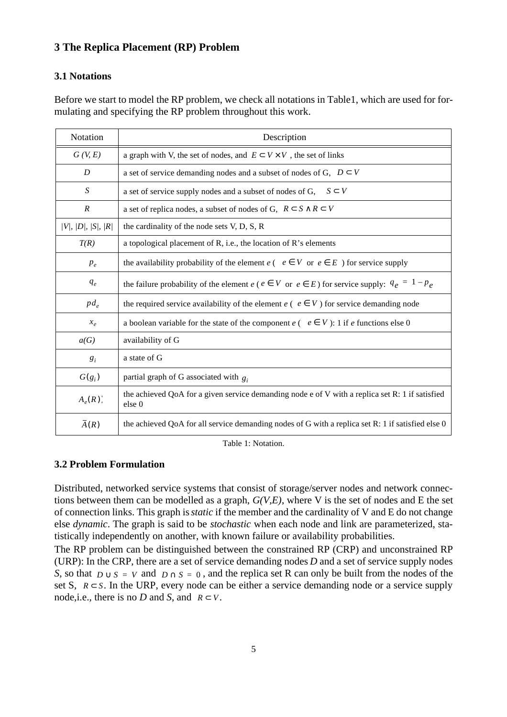# **3 The Replica Placement (RP) Problem**

# **3.1 Notations**

Before we start to model the RP problem, we check all notations in Table1, which are used for formulating and specifying the RP problem throughout this work.

| Notation          | Description                                                                                               |  |  |  |
|-------------------|-----------------------------------------------------------------------------------------------------------|--|--|--|
| G (V, E)          | a graph with V, the set of nodes, and $E \subset V \times V$ , the set of links                           |  |  |  |
| D                 | a set of service demanding nodes and a subset of nodes of G, $D \subset V$                                |  |  |  |
| S                 | a set of service supply nodes and a subset of nodes of G,<br>$S \subset V$                                |  |  |  |
| $\boldsymbol{R}$  | a set of replica nodes, a subset of nodes of G, $R \subset S \wedge R \subset V$                          |  |  |  |
| V ,  D ,  S ,  R  | the cardinality of the node sets V, D, S, R                                                               |  |  |  |
| T(R)              | a topological placement of R, i.e., the location of R's elements                                          |  |  |  |
| $p_e$             | the availability probability of the element $e ( e \in V \text{ or } e \in E )$ for service supply        |  |  |  |
| $q_e$             | the failure probability of the element $e$ ( $e \in V$ or $e \in E$ ) for service supply: $q_e = 1 - p_e$ |  |  |  |
| $pd_e$            | the required service availability of the element $e (e \in V)$ for service demanding node                 |  |  |  |
| $x_e$             | a boolean variable for the state of the component $e ( e \in V)$ : 1 if e functions else 0                |  |  |  |
| a(G)              | availability of G                                                                                         |  |  |  |
| $g_i$             | a state of G                                                                                              |  |  |  |
| $G(g_i)$          | partial graph of G associated with $g_i$                                                                  |  |  |  |
| $A_e(R)$          | the achieved QoA for a given service demanding node e of V with a replica set R: 1 if satisfied<br>else 0 |  |  |  |
| $\overline{A}(R)$ | the achieved QoA for all service demanding nodes of G with a replica set $R: 1$ if satisfied else 0       |  |  |  |

Table 1: Notation.

# **3.2 Problem Formulation**

Distributed, networked service systems that consist of storage/server nodes and network connections between them can be modelled as a graph, *G(V,E)*, where V is the set of nodes and E the set of connection links. This graph is *static* if the member and the cardinality of V and E do not change else *dynamic*. The graph is said to be *stochastic* when each node and link are parameterized, statistically independently on another, with known failure or availability probabilities.

The RP problem can be distinguished between the constrained RP (CRP) and unconstrained RP (URP): In the CRP, there are a set of service demanding nodes *D* and a set of service supply nodes *S*, so that  $D \cup S = V$  and  $D \cap S = 0$ , and the replica set R can only be built from the nodes of the set S,  $R \subset S$ . In the URP, every node can be either a service demanding node or a service supply node, i.e., there is no *D* and *S*, and  $R \subset V$ .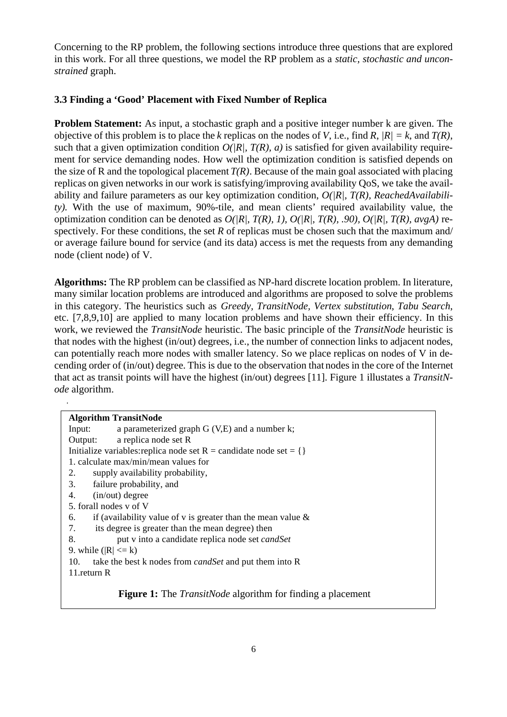Concerning to the RP problem, the following sections introduce three questions that are explored in this work. For all three questions, we model the RP problem as a *static, stochastic and unconstrained* graph.

## **3.3 Finding a 'Good' Placement with Fixed Number of Replica**

.

**Problem Statement:** As input, a stochastic graph and a positive integer number k are given. The objective of this problem is to place the *k* replicas on the nodes of *V*, i.e., find *R*,  $|R| = k$ , and  $T(R)$ , such that a given optimization condition  $O(|R|, T(R), a)$  is satisfied for given availability requirement for service demanding nodes. How well the optimization condition is satisfied depends on the size of R and the topological placement *T(R)*. Because of the main goal associated with placing replicas on given networks in our work is satisfying/improving availability QoS, we take the availability and failure parameters as our key optimization condition, *O(|R|, T(R), ReachedAvailability).* With the use of maximum, 90%-tile, and mean clients' required availability value, the optimization condition can be denoted as  $O(|R|, T(R), 1)$ ,  $O(|R|, T(R), .90)$ ,  $O(|R|, T(R), avg A)$  respectively. For these conditions, the set *R* of replicas must be chosen such that the maximum and/ or average failure bound for service (and its data) access is met the requests from any demanding node (client node) of V.

**Algorithms:** The RP problem can be classified as NP-hard discrete location problem. In literature, many similar location problems are introduced and algorithms are proposed to solve the problems in this category. The heuristics such as *Greedy, TransitNode, Vertex substitution*, *Tabu Search*, etc. [7,8,9,10] are applied to many location problems and have shown their efficiency. In this work, we reviewed the *TransitNode* heuristic. The basic principle of the *TransitNode* heuristic is that nodes with the highest (in/out) degrees, i.e., the number of connection links to adjacent nodes, can potentially reach more nodes with smaller latency. So we place replicas on nodes of V in decending order of (in/out) degree. This is due to the observation that nodes in the core of the Internet that act as transit points will have the highest (in/out) degrees [11]. Figure 1 illustates a *TransitNode* algorithm.

| <b>Algorithm TransitNode</b>                                              |  |  |  |  |  |
|---------------------------------------------------------------------------|--|--|--|--|--|
| a parameterized graph $G (V,E)$ and a number k;<br>Input:                 |  |  |  |  |  |
| a replica node set R<br>Output:                                           |  |  |  |  |  |
| Initialize variables: replica node set R = candidate node set = {}        |  |  |  |  |  |
| 1. calculate max/min/mean values for                                      |  |  |  |  |  |
| 2.<br>supply availability probability,                                    |  |  |  |  |  |
| failure probability, and<br>3.                                            |  |  |  |  |  |
| $(in/out)$ degree<br>4.                                                   |  |  |  |  |  |
| 5. forall nodes y of V                                                    |  |  |  |  |  |
| if (availability value of v is greater than the mean value $\&$<br>6.     |  |  |  |  |  |
| its degree is greater than the mean degree) then<br>7.                    |  |  |  |  |  |
| put v into a candidate replica node set <i>candSet</i><br>8.              |  |  |  |  |  |
| 9. while $( R  \le k)$                                                    |  |  |  |  |  |
| take the best k nodes from <i>candSet</i> and put them into R<br>10.      |  |  |  |  |  |
| 11. return R                                                              |  |  |  |  |  |
|                                                                           |  |  |  |  |  |
| <b>Figure 1:</b> The <i>TransitNode</i> algorithm for finding a placement |  |  |  |  |  |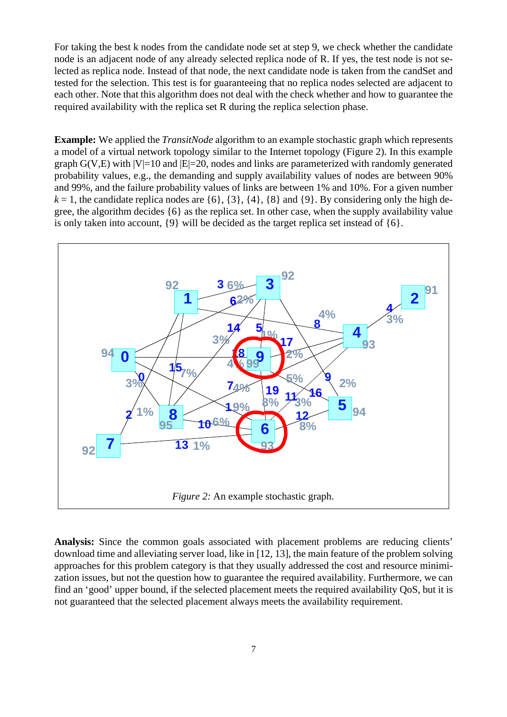For taking the best k nodes from the candidate node set at step 9, we check whether the candidate node is an adjacent node of any already selected replica node of R. If yes, the test node is not selected as replica node. Instead of that node, the next candidate node is taken from the candSet and tested for the selection. This test is for guaranteeing that no replica nodes selected are adjacent to each other. Note that this algorithm does not deal with the check whether and how to guarantee the required availability with the replica set R during the replica selection phase.

**Example:** We applied the *TransitNode* algorithm to an example stochastic graph which represents a model of a virtual network topology similar to the Internet topology (Figure 2). In this example graph  $G(V,E)$  with  $|V|=10$  and  $|E|=20$ , nodes and links are parameterized with randomly generated probability values, e.g., the demanding and supply availability values of nodes are between 90% and 99%, and the failure probability values of links are between 1% and 10%. For a given number  $k = 1$ , the candidate replica nodes are  $\{6\}$ ,  $\{3\}$ ,  $\{4\}$ ,  $\{8\}$  and  $\{9\}$ . By considering only the high degree, the algorithm decides {6} as the replica set. In other case, when the supply availability value is only taken into account, {9} will be decided as the target replica set instead of {6}.



**Analysis:** Since the common goals associated with placement problems are reducing clients' download time and alleviating server load, like in [12, 13], the main feature of the problem solving approaches for this problem category is that they usually addressed the cost and resource minimization issues, but not the question how to guarantee the required availability. Furthermore, we can find an 'good' upper bound, if the selected placement meets the required availability QoS, but it is not guaranteed that the selected placement always meets the availability requirement.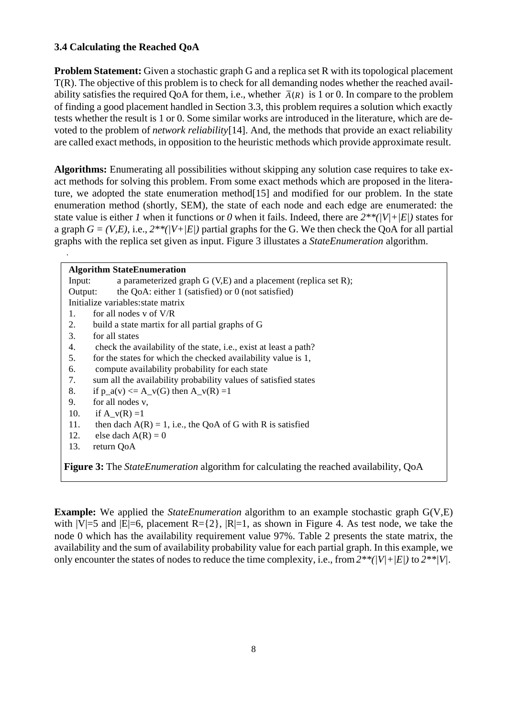## **3.4 Calculating the Reached QoA**

**Problem Statement:** Given a stochastic graph G and a replica set R with its topological placement T(R). The objective of this problem is to check for all demanding nodes whether the reached availability satisfies the required QoA for them, i.e., whether  $\bar{A}(R)$  is 1 or 0. In compare to the problem of finding a good placement handled in Section 3.3, this problem requires a solution which exactly tests whether the result is 1 or 0. Some similar works are introduced in the literature, which are devoted to the problem of *network reliability*[14]. And, the methods that provide an exact reliability are called exact methods, in opposition to the heuristic methods which provide approximate result.

**Algorithms:** Enumerating all possibilities without skipping any solution case requires to take exact methods for solving this problem. From some exact methods which are proposed in the literature, we adopted the state enumeration method<sup>[15]</sup> and modified for our problem. In the state enumeration method (shortly, SEM), the state of each node and each edge are enumerated: the state value is either *1* when it functions or *0* when it fails. Indeed, there are  $2**/(V)+|E|)$  states for a graph  $G = (V,E)$ , i.e.,  $2^{**}(V+|E|)$  partial graphs for the G. We then check the QoA for all partial graphs with the replica set given as input. Figure 3 illustates a *StateEnumeration* algorithm.

| <b>Algorithm StateEnumeration</b>                                                                     |  |  |  |  |  |
|-------------------------------------------------------------------------------------------------------|--|--|--|--|--|
| a parameterized graph $G (V,E)$ and a placement (replica set R);<br>Input:                            |  |  |  |  |  |
| the QoA: either $1$ (satisfied) or $0$ (not satisfied)<br>Output:                                     |  |  |  |  |  |
| Initialize variables: state matrix                                                                    |  |  |  |  |  |
| for all nodes y of $V/R$<br>1.                                                                        |  |  |  |  |  |
| build a state martix for all partial graphs of G<br>2.                                                |  |  |  |  |  |
| for all states<br>3.                                                                                  |  |  |  |  |  |
| check the availability of the state, i.e., exist at least a path?<br>4.                               |  |  |  |  |  |
| for the states for which the checked availability value is 1,<br>5.                                   |  |  |  |  |  |
| compute availability probability for each state<br>6.                                                 |  |  |  |  |  |
| sum all the availability probability values of satisfied states<br>7.                                 |  |  |  |  |  |
| 8.<br>if $p_a(v) \leq A_v(G)$ then $A_v(R) = 1$                                                       |  |  |  |  |  |
| 9.<br>for all nodes v,                                                                                |  |  |  |  |  |
| 10.<br>if $A_v(R) = 1$                                                                                |  |  |  |  |  |
| then dach $A(R) = 1$ , i.e., the QoA of G with R is satisfied<br>11.                                  |  |  |  |  |  |
| else dach $A(R) = 0$<br>12.                                                                           |  |  |  |  |  |
| 13.<br>return QoA                                                                                     |  |  |  |  |  |
| <b>Figure 3:</b> The <i>State Enumeration</i> algorithm for calculating the reached availability, QoA |  |  |  |  |  |

**Example:** We applied the *StateEnumeration* algorithm to an example stochastic graph G(V,E) with  $|V|=5$  and  $|E|=6$ , placement  $R=\{2\}$ ,  $|R|=1$ , as shown in Figure 4. As test node, we take the node 0 which has the availability requirement value 97%. Table 2 presents the state matrix, the availability and the sum of availability probability value for each partial graph. In this example, we only encounter the states of nodes to reduce the time complexity, i.e., from *2\*\*(|V|+|E|)* to *2\*\*|V|*.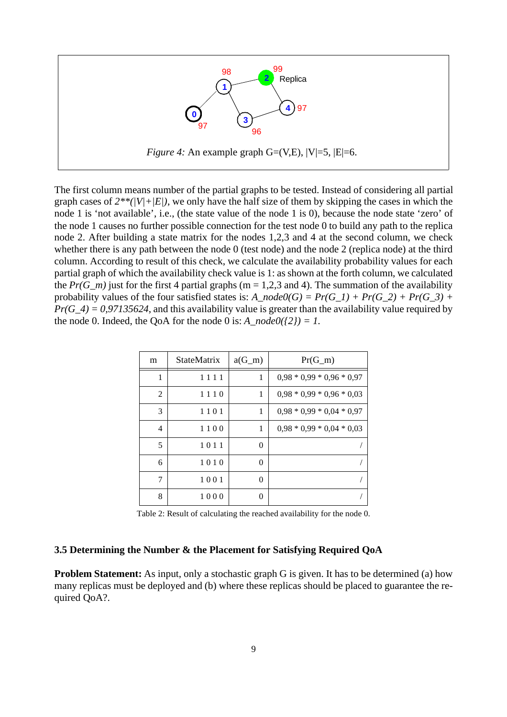

The first column means number of the partial graphs to be tested. Instead of considering all partial graph cases of  $2^{**}$ ( $|V|+|E|$ ), we only have the half size of them by skipping the cases in which the node 1 is 'not available', i.e., (the state value of the node 1 is 0), because the node state 'zero' of the node 1 causes no further possible connection for the test node 0 to build any path to the replica node 2. After building a state matrix for the nodes 1,2,3 and 4 at the second column, we check whether there is any path between the node 0 (test node) and the node 2 (replica node) at the third column. According to result of this check, we calculate the availability probability values for each partial graph of which the availability check value is 1: as shown at the forth column, we calculated the *Pr(G\_m)* just for the first 4 partial graphs (m = 1,2,3 and 4). The summation of the availability probability values of the four satisfied states is: *A\_node0(G) = Pr(G\_1) + Pr(G\_2) + Pr(G\_3) +*  $Pr(G_4) = 0.97135624$ , and this availability value is greater than the availability value required by the node 0. Indeed, the QoA for the node 0 is:  $A \mod o(2) = 1$ .

| m | <b>StateMatrix</b> | $a(G_m)$         | $Pr(G_m)$                   |
|---|--------------------|------------------|-----------------------------|
| 1 | 1111               | 1                | $0.98 * 0.99 * 0.96 * 0.97$ |
| 2 | 1110               | 1                | $0.98 * 0.99 * 0.96 * 0.03$ |
| 3 | 1101               | 1                | $0.98 * 0.99 * 0.04 * 0.97$ |
| 4 | 1100               | 1                | $0.98 * 0.99 * 0.04 * 0.03$ |
| 5 | 1011               | $\theta$         |                             |
| 6 | 1010               | $\boldsymbol{0}$ |                             |
| 7 | 1001               | $\boldsymbol{0}$ |                             |
| 8 | 1000               | $\boldsymbol{0}$ |                             |

Table 2: Result of calculating the reached availability for the node 0.

#### **3.5 Determining the Number & the Placement for Satisfying Required QoA**

**Problem Statement:** As input, only a stochastic graph G is given. It has to be determined (a) how many replicas must be deployed and (b) where these replicas should be placed to guarantee the required QoA?.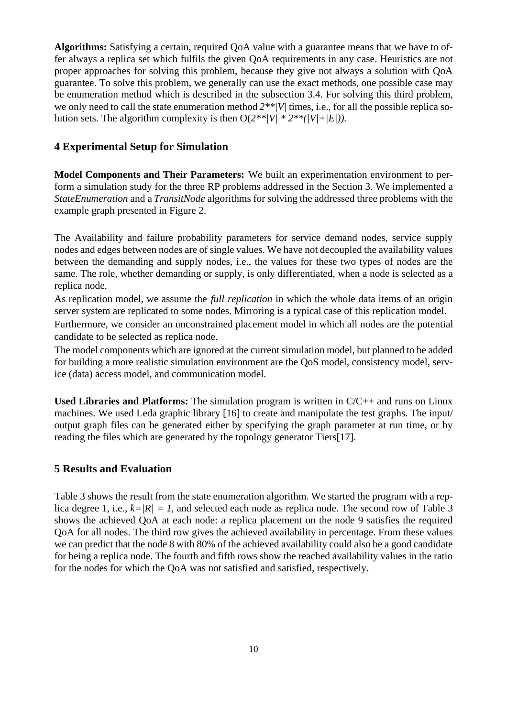**Algorithms:** Satisfying a certain, required QoA value with a guarantee means that we have to offer always a replica set which fulfils the given QoA requirements in any case. Heuristics are not proper approaches for solving this problem, because they give not always a solution with QoA guarantee. To solve this problem, we generally can use the exact methods, one possible case may be enumeration method which is described in the subsection 3.4. For solving this third problem, we only need to call the state enumeration method  $2**/V/\text{times}$ , i.e., for all the possible replica solution sets. The algorithm complexity is then  $O(2^{**}/V)$  \*  $2^{**}/(V)+|E|$ ).

#### **4 Experimental Setup for Simulation**

**Model Components and Their Parameters:** We built an experimentation environment to perform a simulation study for the three RP problems addressed in the Section 3. We implemented a *StateEnumeration* and a *TransitNode* algorithms for solving the addressed three problems with the example graph presented in Figure 2.

The Availability and failure probability parameters for service demand nodes, service supply nodes and edges between nodes are of single values. We have not decoupled the availability values between the demanding and supply nodes, i.e., the values for these two types of nodes are the same. The role, whether demanding or supply, is only differentiated, when a node is selected as a replica node.

As replication model, we assume the *full replication* in which the whole data items of an origin server system are replicated to some nodes. Mirroring is a typical case of this replication model.

Furthermore, we consider an unconstrained placement model in which all nodes are the potential candidate to be selected as replica node.

The model components which are ignored at the current simulation model, but planned to be added for building a more realistic simulation environment are the QoS model, consistency model, service (data) access model, and communication model.

**Used Libraries and Platforms:** The simulation program is written in C/C++ and runs on Linux machines. We used Leda graphic library [16] to create and manipulate the test graphs. The input/ output graph files can be generated either by specifying the graph parameter at run time, or by reading the files which are generated by the topology generator Tiers[17].

#### **5 Results and Evaluation**

Table 3 shows the result from the state enumeration algorithm. We started the program with a replica degree 1, i.e.,  $k=|R|=1$ , and selected each node as replica node. The second row of Table 3 shows the achieved QoA at each node: a replica placement on the node 9 satisfies the required QoA for all nodes. The third row gives the achieved availability in percentage. From these values we can predict that the node 8 with 80% of the achieved availability could also be a good candidate for being a replica node. The fourth and fifth rows show the reached availability values in the ratio for the nodes for which the QoA was not satisfied and satisfied, respectively.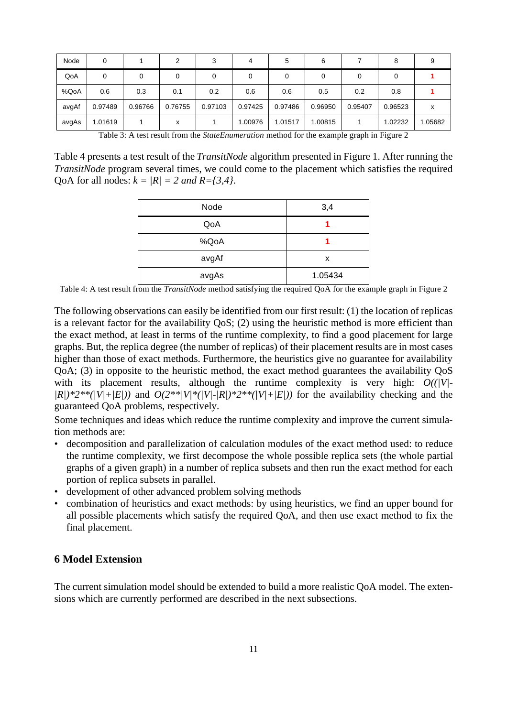| Node  | 0       |         | ◠       |         | 4       | 5       | 6       |         | 8       |         |
|-------|---------|---------|---------|---------|---------|---------|---------|---------|---------|---------|
| QoA   |         | 0       |         | 0       |         |         |         | 0       |         |         |
| %QoA  | 0.6     | 0.3     | 0.1     | 0.2     | 0.6     | 0.6     | 0.5     | 0.2     | 0.8     |         |
| avgAf | 0.97489 | 0.96766 | 0.76755 | 0.97103 | 0.97425 | 0.97486 | 0.96950 | 0.95407 | 0.96523 | x       |
| avgAs | 1.01619 |         | x       |         | 1.00976 | 1.01517 | 1.00815 |         | 1.02232 | 1.05682 |

Table 3: A test result from the *StateEnumeration* method for the example graph in Figure 2

Table 4 presents a test result of the *TransitNode* algorithm presented in Figure 1. After running the *TransitNode* program several times, we could come to the placement which satisfies the required QoA for all nodes:  $k = |R| = 2$  *and*  $R = \{3, 4\}$ .

| Node  | 3,4     |  |  |
|-------|---------|--|--|
| QoA   |         |  |  |
| %QoA  |         |  |  |
| avgAf | x       |  |  |
| avgAs | 1.05434 |  |  |

Table 4: A test result from the *TransitNode* method satisfying the required QoA for the example graph in Figure 2

The following observations can easily be identified from our first result: (1) the location of replicas is a relevant factor for the availability QoS; (2) using the heuristic method is more efficient than the exact method, at least in terms of the runtime complexity, to find a good placement for large graphs. But, the replica degree (the number of replicas) of their placement results are in most cases higher than those of exact methods. Furthermore, the heuristics give no guarantee for availability QoA; (3) in opposite to the heuristic method, the exact method guarantees the availability QoS with its placement results, although the runtime complexity is very high:  $O((N)^{2})$  $(R)/2^{**}$ ( $|V|+|E|$ )) and  $O(2^{**}/V)^{*}$ ( $|V|-|R|$ )\*2\*\*( $|V|+|E|$ )) for the availability checking and the guaranteed QoA problems, respectively.

Some techniques and ideas which reduce the runtime complexity and improve the current simulation methods are:

- decomposition and parallelization of calculation modules of the exact method used: to reduce the runtime complexity, we first decompose the whole possible replica sets (the whole partial graphs of a given graph) in a number of replica subsets and then run the exact method for each portion of replica subsets in parallel.
- development of other advanced problem solving methods
- combination of heuristics and exact methods: by using heuristics, we find an upper bound for all possible placements which satisfy the required QoA, and then use exact method to fix the final placement.

## **6 Model Extension**

The current simulation model should be extended to build a more realistic QoA model. The extensions which are currently performed are described in the next subsections.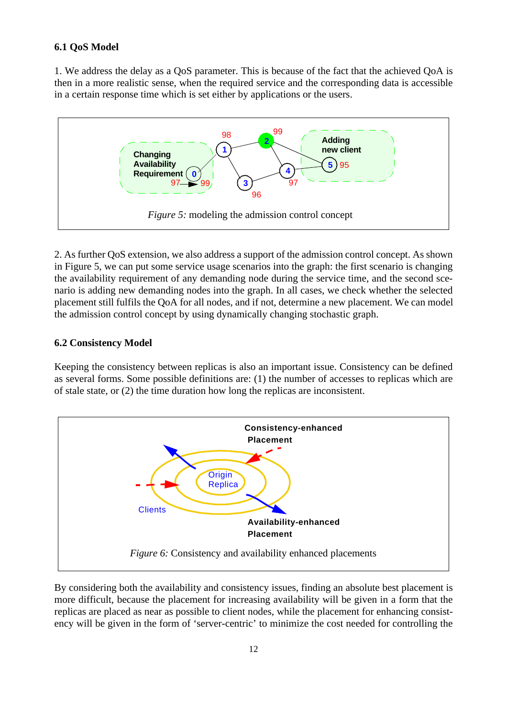#### **6.1 QoS Model**

1. We address the delay as a QoS parameter. This is because of the fact that the achieved QoA is then in a more realistic sense, when the required service and the corresponding data is accessible in a certain response time which is set either by applications or the users.



2. As further QoS extension, we also address a support of the admission control concept. As shown in Figure 5, we can put some service usage scenarios into the graph: the first scenario is changing the availability requirement of any demanding node during the service time, and the second scenario is adding new demanding nodes into the graph. In all cases, we check whether the selected placement still fulfils the QoA for all nodes, and if not, determine a new placement. We can model the admission control concept by using dynamically changing stochastic graph.

#### **6.2 Consistency Model**

Keeping the consistency between replicas is also an important issue. Consistency can be defined as several forms. Some possible definitions are: (1) the number of accesses to replicas which are of stale state, or (2) the time duration how long the replicas are inconsistent.



By considering both the availability and consistency issues, finding an absolute best placement is more difficult, because the placement for increasing availability will be given in a form that the replicas are placed as near as possible to client nodes, while the placement for enhancing consistency will be given in the form of 'server-centric' to minimize the cost needed for controlling the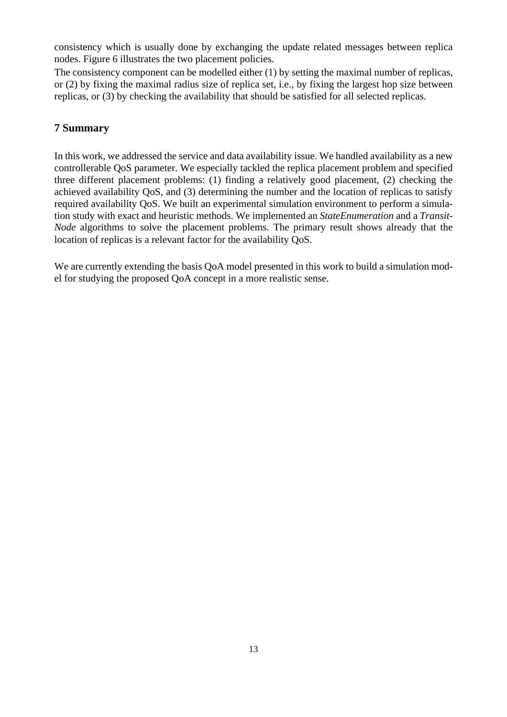consistency which is usually done by exchanging the update related messages between replica nodes. Figure 6 illustrates the two placement policies.

The consistency component can be modelled either (1) by setting the maximal number of replicas, or (2) by fixing the maximal radius size of replica set, i.e., by fixing the largest hop size between replicas, or (3) by checking the availability that should be satisfied for all selected replicas.

# **7 Summary**

In this work, we addressed the service and data availability issue. We handled availability as a new controllerable QoS parameter. We especially tackled the replica placement problem and specified three different placement problems: (1) finding a relatively good placement, (2) checking the achieved availability QoS, and (3) determining the number and the location of replicas to satisfy required availability QoS. We built an experimental simulation environment to perform a simulation study with exact and heuristic methods. We implemented an *StateEnumeration* and a *Transit-Node* algorithms to solve the placement problems. The primary result shows already that the location of replicas is a relevant factor for the availability QoS.

We are currently extending the basis OoA model presented in this work to build a simulation model for studying the proposed QoA concept in a more realistic sense.